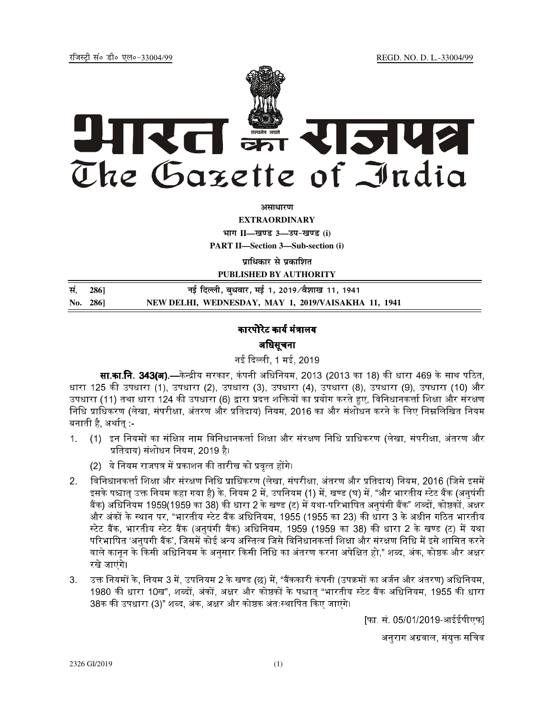REGD. NO. D. L.-33004/99

रजिस्टी सं० डी० एल०-33004/99



अमाधारण

**EXTRAORDINARY** 

भाग II-खण्ड 3-उप-खण्ड (i)

**PART II-Section 3-Sub-section (i)** 

प्राधिकार से प्रकाशित

PUBLISHED BY AUTHORITY

सं. नई दिल्ली, बुधवार, मई 1, 2019/वैशाख 11, 1941 2861 NEW DELHI, WEDNESDAY, MAY 1, 2019/VAISAKHA 11, 1941 No. 286]

## कारपोरेट कार्य मंत्रालय अधिसूचना

नई दिल्ली, 1 मई, 2019

**सा.का.नि. 343(अ).—**केन्द्रीय सरकार, कंपनी अधिनियम, 2013 (2013 का 18) की धारा 469 के साथ पठित. धारा 125 की उपधारा (1), उपधारा (2), उपधारा (3), उपधारा (4), उपधारा (8), उपधारा (9), उपधारा (10) और उपधारा (11) तथा धारा 124 की उपधारा (6) द्वारा प्रदत्त शक्तियों का प्रयोग करते हुए, विनिधानकर्त्ता शिक्षा और संरक्षण निधि प्राधिकरण (लेखा, संपरीक्षा, अंतरण और प्रतिदाय) नियम, 2016 का और संशोधन करने के लिए निम्नलिखित नियम बनाती है. अर्थातु :-

- $1<sub>1</sub>$ (1) इन नियमों का संक्षिप्त नाम विनिधानकर्त्ता शिक्षा और संरक्षण निधि प्राधिकरण (लेखा, संपरीक्षा, अंतरण और प्रतिदाय) संशोधन नियम, 2019 है।
	- (2) ये नियम राजपत्र में प्रकाशन की तारीख को प्रवृत्त होंगे।
- विनिधानकर्त्ता शिक्षा और संरक्षण निधि प्राधिकरण (लेखा, संपरीक्षा, अंतरण और प्रतिदाय) नियम, 2016 (जिसे इसमें  $2<sub>1</sub>$ इसके पश्चात उक्त नियम कहा गया है) के, नियम 2 में, उपनियम (1) में, खण्ड (घ) में, "और भारतीय स्टेट बैंक (अनुषंगी बैंक) अधिनियम 1959(1959 का 38) की धारा 2 के खण्ड (ट) में यथा-परिभाषित अनुषंगी बैंक" शब्दों, कोष्ठकों, अक्षर और अंकों के स्थान पर, "भारतीय स्टेट बैंक अधिनियम, 1955 (1955 का 23) की धारा 3 के अधीन गठित भारतीय स्टेट बैंक, भारतीय स्टेट बैंक (अनुषंगी बैंक) अधिनियम, 1959 (1959 का 38) की धारा 2 के खण्ड (ट) में यथा परिभाषित 'अनषगी बैंक', जिसमें कोई अन्य अस्तित्व जिसे विनिधानकर्त्ता शिक्षा और संरक्षण निधि में इसे शासित करने वाले कानन के किसी अधिनियम के अनुसार किसी निधि का अंतरण करना अपेक्षित हो." शब्द, अंक, कोष्ठक और अक्षर रखे जाएंगे।
- उक्त नियमों के, नियम 3 में, उपनियम 2 के खण्ड (छ) में, "बैंककारी कंपनी (उपक्रमों का अर्जन और अंतरण) अधिनियम, 3. 1980 की धारा 10ख", शब्दों, अंकों, अक्षर और कोष्ठकों के पश्चात "भारतीय स्टेट बैंक अधिनियम, 1955 की धारा 38क की उपधारा (3)" शब्द, अंक, अक्षर और कोष्ठक अंतःस्थापित किए जाएंगे।

फा. सं. 05/01/2019-आईईपीएफ।

अनुराग अग्रवाल, संयुक्त सचिव

2326 GI/2019